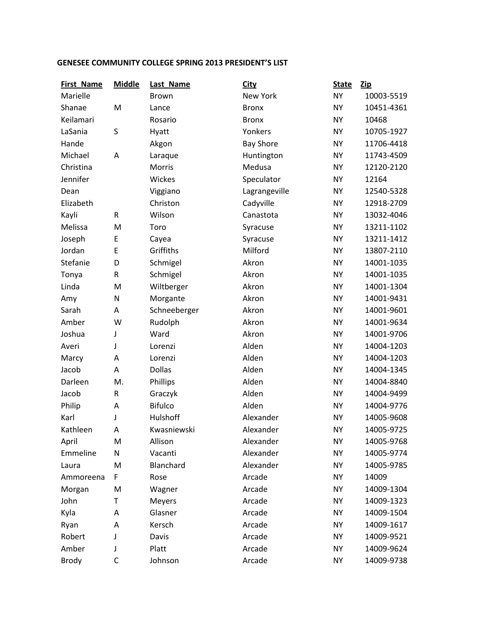## **GENESEE COMMUNITY COLLEGE SPRING 2013 PRESIDENT'S LIST**

| <b>First Name</b> | <b>Middle</b> | Last Name      | <b>City</b>      | <b>State</b> | <b>Zip</b> |
|-------------------|---------------|----------------|------------------|--------------|------------|
| Marielle          |               | <b>Brown</b>   | <b>New York</b>  | <b>NY</b>    | 10003-5519 |
| Shanae            | M             | Lance          | <b>Bronx</b>     | <b>NY</b>    | 10451-4361 |
| Keilamari         |               | Rosario        | <b>Bronx</b>     | <b>NY</b>    | 10468      |
| LaSania           | S             | Hyatt          | Yonkers          | <b>NY</b>    | 10705-1927 |
| Hande             |               | Akgon          | <b>Bay Shore</b> | <b>NY</b>    | 11706-4418 |
| Michael           | A             | Laraque        | Huntington       | <b>NY</b>    | 11743-4509 |
| Christina         |               | Morris         | Medusa           | <b>NY</b>    | 12120-2120 |
| Jennifer          |               | Wickes         | Speculator       | <b>NY</b>    | 12164      |
| Dean              |               | Viggiano       | Lagrangeville    | <b>NY</b>    | 12540-5328 |
| Elizabeth         |               | Christon       | Cadyville        | <b>NY</b>    | 12918-2709 |
| Kayli             | R             | Wilson         | Canastota        | <b>NY</b>    | 13032-4046 |
| Melissa           | M             | Toro           | Syracuse         | <b>NY</b>    | 13211-1102 |
| Joseph            | E             | Cayea          | Syracuse         | <b>NY</b>    | 13211-1412 |
| Jordan            | E             | Griffiths      | Milford          | <b>NY</b>    | 13807-2110 |
| Stefanie          | D             | Schmigel       | Akron            | <b>NY</b>    | 14001-1035 |
| Tonya             | R             | Schmigel       | Akron            | <b>NY</b>    | 14001-1035 |
| Linda             | M             | Wiltberger     | Akron            | <b>NY</b>    | 14001-1304 |
| Amy               | N             | Morgante       | Akron            | <b>NY</b>    | 14001-9431 |
| Sarah             | A             | Schneeberger   | Akron            | <b>NY</b>    | 14001-9601 |
| Amber             | W             | Rudolph        | Akron            | <b>NY</b>    | 14001-9634 |
| Joshua            | J             | Ward           | Akron            | <b>NY</b>    | 14001-9706 |
| Averi             | J             | Lorenzi        | Alden            | <b>NY</b>    | 14004-1203 |
| Marcy             | A             | Lorenzi        | Alden            | <b>NY</b>    | 14004-1203 |
| Jacob             | Α             | <b>Dollas</b>  | Alden            | <b>NY</b>    | 14004-1345 |
| Darleen           | M.            | Phillips       | Alden            | <b>NY</b>    | 14004-8840 |
| Jacob             | R             | Graczyk        | Alden            | <b>NY</b>    | 14004-9499 |
| Philip            | A             | <b>Bifulco</b> | Alden            | <b>NY</b>    | 14004-9776 |
| Karl              | J             | Hulshoff       | Alexander        | <b>NY</b>    | 14005-9608 |
| Kathleen          | Α             | Kwasniewski    | Alexander        | <b>NY</b>    | 14005-9725 |
| April             | M             | Allison        | Alexander        | <b>NY</b>    | 14005-9768 |
| Emmeline          | N             | Vacanti        | Alexander        | <b>NY</b>    | 14005-9774 |
| Laura             | M             | Blanchard      | Alexander        | <b>NY</b>    | 14005-9785 |
| Ammoreena         | F             | Rose           | Arcade           | <b>NY</b>    | 14009      |
| Morgan            | M             | Wagner         | Arcade           | <b>NY</b>    | 14009-1304 |
| John              | Т             | <b>Meyers</b>  | Arcade           | <b>NY</b>    | 14009-1323 |
| Kyla              | A             | Glasner        | Arcade           | <b>NY</b>    | 14009-1504 |
| Ryan              | A             | Kersch         | Arcade           | <b>NY</b>    | 14009-1617 |
| Robert            | J             | Davis          | Arcade           | <b>NY</b>    | 14009-9521 |
| Amber             | J             | Platt          | Arcade           | <b>NY</b>    | 14009-9624 |
| <b>Brody</b>      | C             | Johnson        | Arcade           | <b>NY</b>    | 14009-9738 |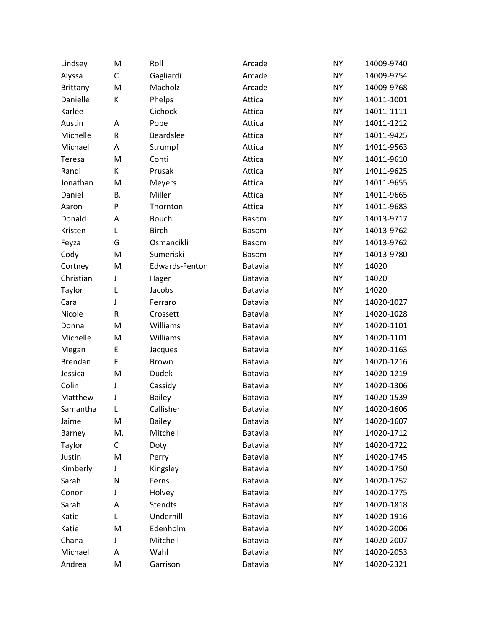| Lindsey         | M  | Roll             | Arcade       | <b>NY</b> | 14009-9740 |
|-----------------|----|------------------|--------------|-----------|------------|
| Alyssa          | C  | Gagliardi        | Arcade       | <b>NY</b> | 14009-9754 |
| <b>Brittany</b> | M  | Macholz          | Arcade       | <b>NY</b> | 14009-9768 |
| Danielle        | К  | Phelps           | Attica       | <b>NY</b> | 14011-1001 |
| Karlee          |    | Cichocki         | Attica       | <b>NY</b> | 14011-1111 |
| Austin          | Α  | Pope             | Attica       | <b>NY</b> | 14011-1212 |
| Michelle        | R  | <b>Beardslee</b> | Attica       | <b>NY</b> | 14011-9425 |
| Michael         | Α  | Strumpf          | Attica       | <b>NY</b> | 14011-9563 |
| Teresa          | M  | Conti            | Attica       | <b>NY</b> | 14011-9610 |
| Randi           | K  | Prusak           | Attica       | <b>NY</b> | 14011-9625 |
| Jonathan        | M  | Meyers           | Attica       | <b>NY</b> | 14011-9655 |
| Daniel          | Β. | Miller           | Attica       | <b>NY</b> | 14011-9665 |
| Aaron           | P  | Thornton         | Attica       | <b>NY</b> | 14011-9683 |
| Donald          | Α  | <b>Bouch</b>     | <b>Basom</b> | <b>NY</b> | 14013-9717 |
| Kristen         | Г  | <b>Birch</b>     | <b>Basom</b> | <b>NY</b> | 14013-9762 |
| Feyza           | G  | Osmancikli       | <b>Basom</b> | <b>NY</b> | 14013-9762 |
| Cody            | M  | Sumeriski        | <b>Basom</b> | <b>NY</b> | 14013-9780 |
| Cortney         | M  | Edwards-Fenton   | Batavia      | <b>NY</b> | 14020      |
| Christian       | J  | Hager            | Batavia      | <b>NY</b> | 14020      |
| Taylor          | L  | Jacobs           | Batavia      | <b>NY</b> | 14020      |
| Cara            | J  | Ferraro          | Batavia      | <b>NY</b> | 14020-1027 |
| Nicole          | R  | Crossett         | Batavia      | <b>NY</b> | 14020-1028 |
| Donna           | M  | Williams         | Batavia      | <b>NY</b> | 14020-1101 |
| Michelle        | M  | Williams         | Batavia      | <b>NY</b> | 14020-1101 |
| Megan           | E  | Jacques          | Batavia      | <b>NY</b> | 14020-1163 |
| Brendan         | F  | Brown            | Batavia      | <b>NY</b> | 14020-1216 |
| Jessica         | M  | <b>Dudek</b>     | Batavia      | <b>NY</b> | 14020-1219 |
| Colin           | J  | Cassidy          | Batavia      | <b>NY</b> | 14020-1306 |
| Matthew         | J  | <b>Bailey</b>    | Batavia      | <b>NY</b> | 14020-1539 |
| Samantha        | L  | Callisher        | Batavia      | <b>NY</b> | 14020-1606 |
| Jaime           | M  | <b>Bailey</b>    | Batavia      | <b>NY</b> | 14020-1607 |
| Barney          | M. | Mitchell         | Batavia      | <b>NY</b> | 14020-1712 |
| Taylor          | C  | Doty             | Batavia      | <b>NY</b> | 14020-1722 |
| Justin          | M  | Perry            | Batavia      | <b>NY</b> | 14020-1745 |
| Kimberly        | J  | Kingsley         | Batavia      | NY        | 14020-1750 |
| Sarah           | N  | Ferns            | Batavia      | <b>NY</b> | 14020-1752 |
| Conor           | J  | Holvey           | Batavia      | <b>NY</b> | 14020-1775 |
| Sarah           | А  | Stendts          | Batavia      | <b>NY</b> | 14020-1818 |
| Katie           | L  | Underhill        | Batavia      | NY        | 14020-1916 |
| Katie           | M  | Edenholm         | Batavia      | <b>NY</b> | 14020-2006 |
| Chana           | J  | Mitchell         | Batavia      | NY        | 14020-2007 |
| Michael         | А  | Wahl             | Batavia      | NY        | 14020-2053 |
| Andrea          | M  | Garrison         | Batavia      | NY        | 14020-2321 |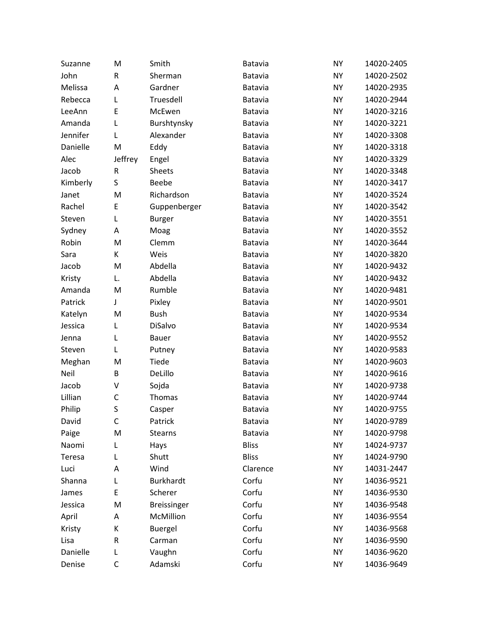| Suzanne  | M       | Smith              | Batavia        | <b>NY</b> | 14020-2405 |
|----------|---------|--------------------|----------------|-----------|------------|
| John     | R       | Sherman            | Batavia        | <b>NY</b> | 14020-2502 |
| Melissa  | Α       | Gardner            | Batavia        | <b>NY</b> | 14020-2935 |
| Rebecca  | L       | Truesdell          | Batavia        | <b>NY</b> | 14020-2944 |
| LeeAnn   | E       | McEwen             | <b>Batavia</b> | <b>NY</b> | 14020-3216 |
| Amanda   | L       | Burshtynsky        | Batavia        | <b>NY</b> | 14020-3221 |
| Jennifer | L       | Alexander          | Batavia        | <b>NY</b> | 14020-3308 |
| Danielle | M       | Eddy               | Batavia        | <b>NY</b> | 14020-3318 |
| Alec     | Jeffrey | Engel              | <b>Batavia</b> | <b>NY</b> | 14020-3329 |
| Jacob    | R       | <b>Sheets</b>      | Batavia        | <b>NY</b> | 14020-3348 |
| Kimberly | S       | Beebe              | Batavia        | <b>NY</b> | 14020-3417 |
| Janet    | M       | Richardson         | Batavia        | <b>NY</b> | 14020-3524 |
| Rachel   | E       | Guppenberger       | Batavia        | <b>NY</b> | 14020-3542 |
| Steven   | L       | <b>Burger</b>      | Batavia        | <b>NY</b> | 14020-3551 |
| Sydney   | A       | Moag               | Batavia        | <b>NY</b> | 14020-3552 |
| Robin    | M       | Clemm              | Batavia        | <b>NY</b> | 14020-3644 |
| Sara     | K       | Weis               | <b>Batavia</b> | <b>NY</b> | 14020-3820 |
| Jacob    | M       | Abdella            | Batavia        | <b>NY</b> | 14020-9432 |
| Kristy   | L.      | Abdella            | Batavia        | <b>NY</b> | 14020-9432 |
| Amanda   | M       | Rumble             | Batavia        | <b>NY</b> | 14020-9481 |
| Patrick  | J       | Pixley             | <b>Batavia</b> | <b>NY</b> | 14020-9501 |
| Katelyn  | M       | <b>Bush</b>        | Batavia        | <b>NY</b> | 14020-9534 |
| Jessica  | L       | DiSalvo            | Batavia        | <b>NY</b> | 14020-9534 |
| Jenna    | L       | Bauer              | Batavia        | <b>NY</b> | 14020-9552 |
| Steven   | Г       | Putney             | <b>Batavia</b> | <b>NY</b> | 14020-9583 |
| Meghan   | M       | Tiede              | Batavia        | <b>NY</b> | 14020-9603 |
| Neil     | B       | DeLillo            | Batavia        | <b>NY</b> | 14020-9616 |
| Jacob    | V       | Sojda              | Batavia        | <b>NY</b> | 14020-9738 |
| Lillian  | C       | Thomas             | <b>Batavia</b> | <b>NY</b> | 14020-9744 |
| Philip   | S       | Casper             | <b>Batavia</b> | <b>NY</b> | 14020-9755 |
| David    | C       | Patrick            | Batavia        | <b>NY</b> | 14020-9789 |
| Paige    | M       | <b>Stearns</b>     | Batavia        | <b>NY</b> | 14020-9798 |
| Naomi    | Г       | Hays               | <b>Bliss</b>   | <b>NY</b> | 14024-9737 |
| Teresa   | L       | Shutt              | <b>Bliss</b>   | <b>NY</b> | 14024-9790 |
| Luci     | А       | Wind               | Clarence       | <b>NY</b> | 14031-2447 |
| Shanna   | Г       | <b>Burkhardt</b>   | Corfu          | <b>NY</b> | 14036-9521 |
| James    | E       | Scherer            | Corfu          | <b>NY</b> | 14036-9530 |
| Jessica  | M       | <b>Breissinger</b> | Corfu          | <b>NY</b> | 14036-9548 |
| April    | А       | McMillion          | Corfu          | <b>NY</b> | 14036-9554 |
| Kristy   | К       | <b>Buergel</b>     | Corfu          | <b>NY</b> | 14036-9568 |
| Lisa     | R       | Carman             | Corfu          | <b>NY</b> | 14036-9590 |
| Danielle | L       | Vaughn             | Corfu          | <b>NY</b> | 14036-9620 |
| Denise   | C       | Adamski            | Corfu          | <b>NY</b> | 14036-9649 |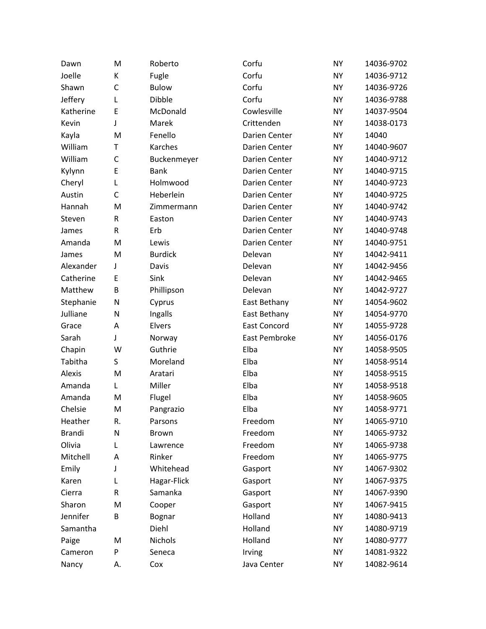| Dawn          | M  | Roberto        | Corfu               | <b>NY</b> | 14036-9702 |
|---------------|----|----------------|---------------------|-----------|------------|
| Joelle        | К  | Fugle          | Corfu               | <b>NY</b> | 14036-9712 |
| Shawn         | C  | <b>Bulow</b>   | Corfu               | <b>NY</b> | 14036-9726 |
| Jeffery       | L  | Dibble         | Corfu               | <b>NY</b> | 14036-9788 |
| Katherine     | E  | McDonald       | Cowlesville         | <b>NY</b> | 14037-9504 |
| Kevin         | J  | Marek          | Crittenden          | <b>NY</b> | 14038-0173 |
| Kayla         | M  | Fenello        | Darien Center       | <b>NY</b> | 14040      |
| William       | T  | Karches        | Darien Center       | <b>NY</b> | 14040-9607 |
| William       | C  | Buckenmeyer    | Darien Center       | <b>NY</b> | 14040-9712 |
| Kylynn        | E  | <b>Bank</b>    | Darien Center       | <b>NY</b> | 14040-9715 |
| Cheryl        | L  | Holmwood       | Darien Center       | <b>NY</b> | 14040-9723 |
| Austin        | C  | Heberlein      | Darien Center       | <b>NY</b> | 14040-9725 |
| Hannah        | M  | Zimmermann     | Darien Center       | <b>NY</b> | 14040-9742 |
| Steven        | R  | Easton         | Darien Center       | <b>NY</b> | 14040-9743 |
| James         | R  | Erb            | Darien Center       | <b>NY</b> | 14040-9748 |
| Amanda        | M  | Lewis          | Darien Center       | <b>NY</b> | 14040-9751 |
| James         | M  | <b>Burdick</b> | Delevan             | <b>NY</b> | 14042-9411 |
| Alexander     | J  | Davis          | Delevan             | <b>NY</b> | 14042-9456 |
| Catherine     | E  | Sink           | Delevan             | <b>NY</b> | 14042-9465 |
| Matthew       | B  | Phillipson     | Delevan             | <b>NY</b> | 14042-9727 |
| Stephanie     | N  | Cyprus         | East Bethany        | <b>NY</b> | 14054-9602 |
| Julliane      | N  | Ingalls        | East Bethany        | <b>NY</b> | 14054-9770 |
| Grace         | Α  | Elvers         | <b>East Concord</b> | <b>NY</b> | 14055-9728 |
| Sarah         | J  | Norway         | East Pembroke       | <b>NY</b> | 14056-0176 |
| Chapin        | W  | Guthrie        | Elba                | <b>NY</b> | 14058-9505 |
| Tabitha       | S  | Moreland       | Elba                | <b>NY</b> | 14058-9514 |
| Alexis        | M  | Aratari        | Elba                | <b>NY</b> | 14058-9515 |
| Amanda        | Г  | Miller         | Elba                | <b>NY</b> | 14058-9518 |
| Amanda        | M  | Flugel         | Elba                | <b>NY</b> | 14058-9605 |
| Chelsie       | M  | Pangrazio      | Elba                | <b>NY</b> | 14058-9771 |
| Heather       | R. | Parsons        | Freedom             | <b>NY</b> | 14065-9710 |
| <b>Brandi</b> | N  | <b>Brown</b>   | Freedom             | <b>NY</b> | 14065-9732 |
| Olivia        | L  | Lawrence       | Freedom             | <b>NY</b> | 14065-9738 |
| Mitchell      | Α  | Rinker         | Freedom             | <b>NY</b> | 14065-9775 |
| Emily         | J  | Whitehead      | Gasport             | <b>NY</b> | 14067-9302 |
| Karen         | L  | Hagar-Flick    | Gasport             | <b>NY</b> | 14067-9375 |
| Cierra        | R  | Samanka        | Gasport             | <b>NY</b> | 14067-9390 |
| Sharon        | M  | Cooper         | Gasport             | <b>NY</b> | 14067-9415 |
| Jennifer      | B  | Bognar         | Holland             | <b>NY</b> | 14080-9413 |
| Samantha      |    | Diehl          | Holland             | <b>NY</b> | 14080-9719 |
| Paige         | M  | Nichols        | Holland             | <b>NY</b> | 14080-9777 |
| Cameron       | P  | Seneca         | Irving              | NY        | 14081-9322 |
| Nancy         | А. | Cox            | Java Center         | NY        | 14082-9614 |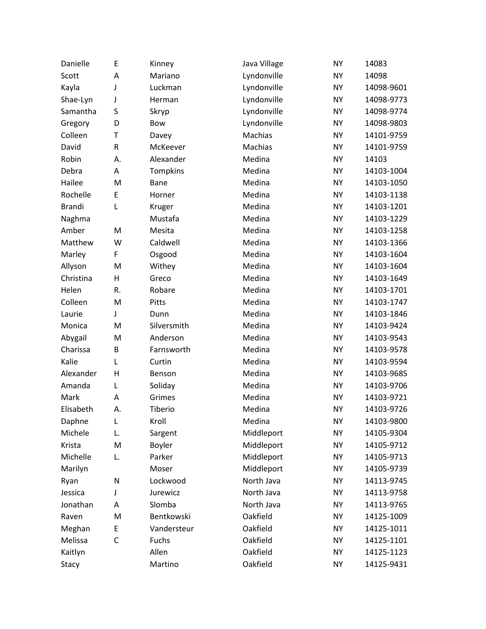| Danielle      | E            | Kinney      | Java Village | <b>NY</b> | 14083      |
|---------------|--------------|-------------|--------------|-----------|------------|
| Scott         | A            | Mariano     | Lyndonville  | <b>NY</b> | 14098      |
| Kayla         | J            | Luckman     | Lyndonville  | <b>NY</b> | 14098-9601 |
| Shae-Lyn      | J            | Herman      | Lyndonville  | <b>NY</b> | 14098-9773 |
| Samantha      | S            | Skryp       | Lyndonville  | <b>NY</b> | 14098-9774 |
| Gregory       | D            | Bow         | Lyndonville  | <b>NY</b> | 14098-9803 |
| Colleen       | T            | Davey       | Machias      | <b>NY</b> | 14101-9759 |
| David         | ${\sf R}$    | McKeever    | Machias      | <b>NY</b> | 14101-9759 |
| Robin         | А.           | Alexander   | Medina       | <b>NY</b> | 14103      |
| Debra         | A            | Tompkins    | Medina       | <b>NY</b> | 14103-1004 |
| Hailee        | M            | Bane        | Medina       | <b>NY</b> | 14103-1050 |
| Rochelle      | E            | Horner      | Medina       | <b>NY</b> | 14103-1138 |
| <b>Brandi</b> | L            | Kruger      | Medina       | <b>NY</b> | 14103-1201 |
| Naghma        |              | Mustafa     | Medina       | <b>NY</b> | 14103-1229 |
| Amber         | M            | Mesita      | Medina       | <b>NY</b> | 14103-1258 |
| Matthew       | W            | Caldwell    | Medina       | <b>NY</b> | 14103-1366 |
| Marley        | F            | Osgood      | Medina       | <b>NY</b> | 14103-1604 |
| Allyson       | M            | Withey      | Medina       | <b>NY</b> | 14103-1604 |
| Christina     | H            | Greco       | Medina       | <b>NY</b> | 14103-1649 |
| Helen         | R.           | Robare      | Medina       | <b>NY</b> | 14103-1701 |
| Colleen       | M            | Pitts       | Medina       | <b>NY</b> | 14103-1747 |
| Laurie        | J            | Dunn        | Medina       | <b>NY</b> | 14103-1846 |
| Monica        | M            | Silversmith | Medina       | <b>NY</b> | 14103-9424 |
| Abygail       | M            | Anderson    | Medina       | <b>NY</b> | 14103-9543 |
| Charissa      | B            | Farnsworth  | Medina       | <b>NY</b> | 14103-9578 |
| Kalie         | L            | Curtin      | Medina       | <b>NY</b> | 14103-9594 |
| Alexander     | $\mathsf{H}$ | Benson      | Medina       | <b>NY</b> | 14103-9685 |
| Amanda        | L            | Soliday     | Medina       | <b>NY</b> | 14103-9706 |
| Mark          | A            | Grimes      | Medina       | <b>NY</b> | 14103-9721 |
| Elisabeth     | Α.           | Tiberio     | Medina       | <b>NY</b> | 14103-9726 |
| Daphne        | L            | Kroll       | Medina       | <b>NY</b> | 14103-9800 |
| Michele       | L.           | Sargent     | Middleport   | <b>NY</b> | 14105-9304 |
| Krista        | M            | Boyler      | Middleport   | <b>NY</b> | 14105-9712 |
| Michelle      | L.           | Parker      | Middleport   | <b>NY</b> | 14105-9713 |
| Marilyn       |              | Moser       | Middleport   | <b>NY</b> | 14105-9739 |
| Ryan          | N            | Lockwood    | North Java   | <b>NY</b> | 14113-9745 |
| Jessica       | J            | Jurewicz    | North Java   | <b>NY</b> | 14113-9758 |
| Jonathan      | A            | Slomba      | North Java   | <b>NY</b> | 14113-9765 |
| Raven         | M            | Bentkowski  | Oakfield     | <b>NY</b> | 14125-1009 |
| Meghan        | E            | Vandersteur | Oakfield     | <b>NY</b> | 14125-1011 |
| Melissa       | C            | Fuchs       | Oakfield     | <b>NY</b> | 14125-1101 |
| Kaitlyn       |              | Allen       | Oakfield     | <b>NY</b> | 14125-1123 |
| Stacy         |              | Martino     | Oakfield     | <b>NY</b> | 14125-9431 |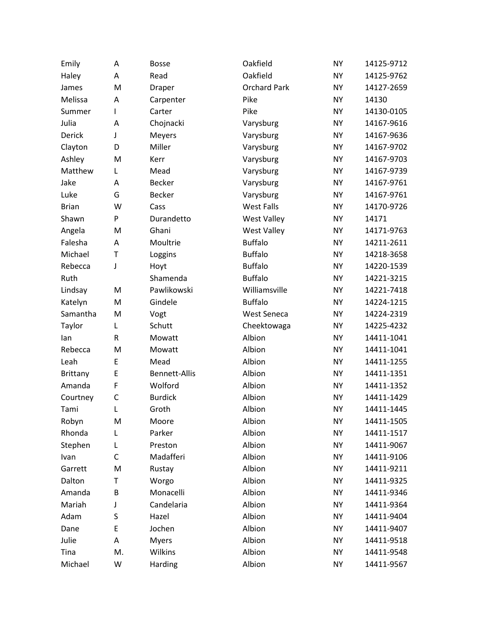| Emily           | Α  | <b>Bosse</b>         | Oakfield            | <b>NY</b> | 14125-9712 |
|-----------------|----|----------------------|---------------------|-----------|------------|
| Haley           | Α  | Read                 | Oakfield            | <b>NY</b> | 14125-9762 |
| James           | M  | Draper               | <b>Orchard Park</b> | <b>NY</b> | 14127-2659 |
| Melissa         | Α  | Carpenter            | Pike                | <b>NY</b> | 14130      |
| Summer          | I  | Carter               | Pike                | <b>NY</b> | 14130-0105 |
| Julia           | Α  | Chojnacki            | Varysburg           | <b>NY</b> | 14167-9616 |
| Derick          | J  | Meyers               | Varysburg           | <b>NY</b> | 14167-9636 |
| Clayton         | D  | Miller               | Varysburg           | <b>NY</b> | 14167-9702 |
| Ashley          | M  | Kerr                 | Varysburg           | <b>NY</b> | 14167-9703 |
| Matthew         | L  | Mead                 | Varysburg           | <b>NY</b> | 14167-9739 |
| Jake            | Α  | <b>Becker</b>        | Varysburg           | <b>NY</b> | 14167-9761 |
| Luke            | G  | <b>Becker</b>        | Varysburg           | <b>NY</b> | 14167-9761 |
| <b>Brian</b>    | W  | Cass                 | <b>West Falls</b>   | <b>NY</b> | 14170-9726 |
| Shawn           | P  | Durandetto           | <b>West Valley</b>  | <b>NY</b> | 14171      |
| Angela          | M  | Ghani                | <b>West Valley</b>  | <b>NY</b> | 14171-9763 |
| Falesha         | Α  | Moultrie             | <b>Buffalo</b>      | <b>NY</b> | 14211-2611 |
| Michael         | T  | Loggins              | <b>Buffalo</b>      | <b>NY</b> | 14218-3658 |
| Rebecca         | J  | Hoyt                 | <b>Buffalo</b>      | <b>NY</b> | 14220-1539 |
| Ruth            |    | Shamenda             | <b>Buffalo</b>      | <b>NY</b> | 14221-3215 |
| Lindsay         | M  | Pawlikowski          | Williamsville       | <b>NY</b> | 14221-7418 |
| Katelyn         | M  | Gindele              | <b>Buffalo</b>      | <b>NY</b> | 14224-1215 |
| Samantha        | M  | Vogt                 | <b>West Seneca</b>  | <b>NY</b> | 14224-2319 |
| Taylor          | Г  | Schutt               | Cheektowaga         | <b>NY</b> | 14225-4232 |
| lan             | R  | Mowatt               | Albion              | <b>NY</b> | 14411-1041 |
| Rebecca         | M  | Mowatt               | Albion              | <b>NY</b> | 14411-1041 |
| Leah            | E  | Mead                 | Albion              | <b>NY</b> | 14411-1255 |
| <b>Brittany</b> | E  | <b>Bennett-Allis</b> | Albion              | <b>NY</b> | 14411-1351 |
| Amanda          | F  | Wolford              | Albion              | <b>NY</b> | 14411-1352 |
| Courtney        | C  | <b>Burdick</b>       | Albion              | <b>NY</b> | 14411-1429 |
| Tami            | L  | Groth                | Albion              | <b>NY</b> | 14411-1445 |
| Robyn           | M  | Moore                | Albion              | <b>NY</b> | 14411-1505 |
| Rhonda          | L  | Parker               | Albion              | <b>NY</b> | 14411-1517 |
| Stephen         | L  | Preston              | Albion              | <b>NY</b> | 14411-9067 |
| Ivan            | C  | Madafferi            | Albion              | <b>NY</b> | 14411-9106 |
| Garrett         | M  | Rustay               | Albion              | <b>NY</b> | 14411-9211 |
| Dalton          | Т  | Worgo                | Albion              | <b>NY</b> | 14411-9325 |
| Amanda          | B  | Monacelli            | Albion              | <b>NY</b> | 14411-9346 |
| Mariah          | J  | Candelaria           | Albion              | <b>NY</b> | 14411-9364 |
| Adam            | S  | Hazel                | Albion              | <b>NY</b> | 14411-9404 |
| Dane            | E  | Jochen               | Albion              | <b>NY</b> | 14411-9407 |
| Julie           | А  | <b>Myers</b>         | Albion              | <b>NY</b> | 14411-9518 |
| Tina            | M. | Wilkins              | Albion              | <b>NY</b> | 14411-9548 |
| Michael         | W  | Harding              | Albion              | <b>NY</b> | 14411-9567 |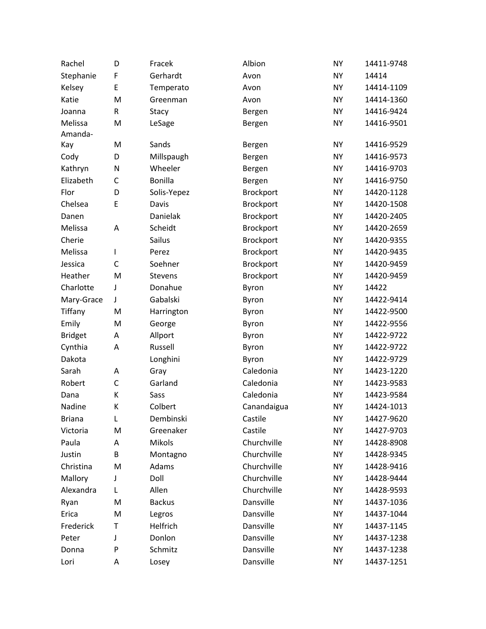| Rachel         | D | Fracek         | Albion      | <b>NY</b> | 14411-9748 |
|----------------|---|----------------|-------------|-----------|------------|
| Stephanie      | F | Gerhardt       | Avon        | <b>NY</b> | 14414      |
| Kelsey         | E | Temperato      | Avon        | <b>NY</b> | 14414-1109 |
| Katie          | M | Greenman       | Avon        | <b>NY</b> | 14414-1360 |
| Joanna         | R | Stacy          | Bergen      | <b>NY</b> | 14416-9424 |
| Melissa        | M | LeSage         | Bergen      | <b>NY</b> | 14416-9501 |
| Amanda-        |   |                |             |           |            |
| Kay            | M | Sands          | Bergen      | <b>NY</b> | 14416-9529 |
| Cody           | D | Millspaugh     | Bergen      | <b>NY</b> | 14416-9573 |
| Kathryn        | N | Wheeler        | Bergen      | <b>NY</b> | 14416-9703 |
| Elizabeth      | C | Bonilla        | Bergen      | <b>NY</b> | 14416-9750 |
| Flor           | D | Solis-Yepez    | Brockport   | <b>NY</b> | 14420-1128 |
| Chelsea        | E | Davis          | Brockport   | <b>NY</b> | 14420-1508 |
| Danen          |   | Danielak       | Brockport   | <b>NY</b> | 14420-2405 |
| Melissa        | A | Scheidt        | Brockport   | <b>NY</b> | 14420-2659 |
| Cherie         |   | Sailus         | Brockport   | <b>NY</b> | 14420-9355 |
| Melissa        | I | Perez          | Brockport   | <b>NY</b> | 14420-9435 |
| Jessica        | C | Soehner        | Brockport   | <b>NY</b> | 14420-9459 |
| Heather        | M | <b>Stevens</b> | Brockport   | <b>NY</b> | 14420-9459 |
| Charlotte      | J | Donahue        | Byron       | <b>NY</b> | 14422      |
| Mary-Grace     | J | Gabalski       | Byron       | <b>NY</b> | 14422-9414 |
| Tiffany        | M | Harrington     | Byron       | <b>NY</b> | 14422-9500 |
| Emily          | M | George         | Byron       | <b>NY</b> | 14422-9556 |
| <b>Bridget</b> | Α | Allport        | Byron       | <b>NY</b> | 14422-9722 |
| Cynthia        | А | Russell        | Byron       | <b>NY</b> | 14422-9722 |
| Dakota         |   | Longhini       | Byron       | <b>NY</b> | 14422-9729 |
| Sarah          | A | Gray           | Caledonia   | <b>NY</b> | 14423-1220 |
| Robert         | C | Garland        | Caledonia   | <b>NY</b> | 14423-9583 |
| Dana           | К | Sass           | Caledonia   | <b>NY</b> | 14423-9584 |
| Nadine         | К | Colbert        | Canandaigua | <b>NY</b> | 14424-1013 |
| <b>Briana</b>  | L | Dembinski      | Castile     | <b>NY</b> | 14427-9620 |
| Victoria       | M | Greenaker      | Castile     | <b>NY</b> | 14427-9703 |
| Paula          | Α | <b>Mikols</b>  | Churchville | <b>NY</b> | 14428-8908 |
| Justin         | B | Montagno       | Churchville | <b>NY</b> | 14428-9345 |
| Christina      | M | Adams          | Churchville | <b>NY</b> | 14428-9416 |
| Mallory        | J | Doll           | Churchville | <b>NY</b> | 14428-9444 |
| Alexandra      | L | Allen          | Churchville | <b>NY</b> | 14428-9593 |
| Ryan           | M | <b>Backus</b>  | Dansville   | <b>NY</b> | 14437-1036 |
| Erica          | M | Legros         | Dansville   | <b>NY</b> | 14437-1044 |
| Frederick      | Т | Helfrich       | Dansville   | <b>NY</b> | 14437-1145 |
| Peter          | J | Donlon         | Dansville   | <b>NY</b> | 14437-1238 |
| Donna          | P | Schmitz        | Dansville   | <b>NY</b> | 14437-1238 |
| Lori           | А | Losey          | Dansville   | <b>NY</b> | 14437-1251 |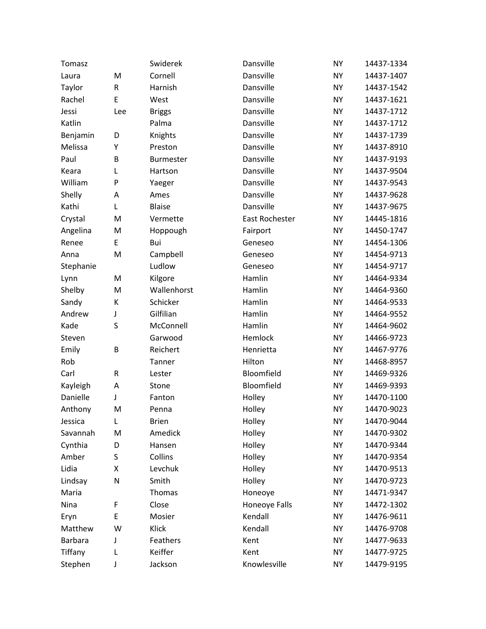| Tomasz    |         | Swiderek         | Dansville      | <b>NY</b> | 14437-1334 |
|-----------|---------|------------------|----------------|-----------|------------|
| Laura     | M       | Cornell          | Dansville      | <b>NY</b> | 14437-1407 |
| Taylor    | R       | Harnish          | Dansville      | <b>NY</b> | 14437-1542 |
| Rachel    | E       | West             | Dansville      | <b>NY</b> | 14437-1621 |
| Jessi     | Lee     | <b>Briggs</b>    | Dansville      | <b>NY</b> | 14437-1712 |
| Katlin    |         | Palma            | Dansville      | <b>NY</b> | 14437-1712 |
| Benjamin  | D       | Knights          | Dansville      | <b>NY</b> | 14437-1739 |
| Melissa   | Υ       | Preston          | Dansville      | <b>NY</b> | 14437-8910 |
| Paul      | B       | <b>Burmester</b> | Dansville      | <b>NY</b> | 14437-9193 |
| Keara     | L       | Hartson          | Dansville      | <b>NY</b> | 14437-9504 |
| William   | P       | Yaeger           | Dansville      | <b>NY</b> | 14437-9543 |
| Shelly    | A       | Ames             | Dansville      | <b>NY</b> | 14437-9628 |
| Kathi     | Г       | <b>Blaise</b>    | Dansville      | <b>NY</b> | 14437-9675 |
| Crystal   | M       | Vermette         | East Rochester | <b>NY</b> | 14445-1816 |
| Angelina  | M       | Hoppough         | Fairport       | <b>NY</b> | 14450-1747 |
| Renee     | E       | Bui              | Geneseo        | <b>NY</b> | 14454-1306 |
| Anna      | M       | Campbell         | Geneseo        | <b>NY</b> | 14454-9713 |
| Stephanie |         | Ludlow           | Geneseo        | <b>NY</b> | 14454-9717 |
| Lynn      | M       | Kilgore          | Hamlin         | <b>NY</b> | 14464-9334 |
| Shelby    | M       | Wallenhorst      | Hamlin         | <b>NY</b> | 14464-9360 |
| Sandy     | К       | Schicker         | Hamlin         | <b>NY</b> | 14464-9533 |
| Andrew    | J       | Gilfilian        | Hamlin         | <b>NY</b> | 14464-9552 |
| Kade      | S       | McConnell        | Hamlin         | <b>NY</b> | 14464-9602 |
| Steven    |         | Garwood          | Hemlock        | <b>NY</b> | 14466-9723 |
| Emily     | B       | Reichert         | Henrietta      | <b>NY</b> | 14467-9776 |
| Rob       |         | Tanner           | Hilton         | <b>NY</b> | 14468-8957 |
| Carl      | $\sf R$ | Lester           | Bloomfield     | <b>NY</b> | 14469-9326 |
| Kayleigh  | A       | Stone            | Bloomfield     | <b>NY</b> | 14469-9393 |
| Danielle  | J       | Fanton           | Holley         | <b>NY</b> | 14470-1100 |
| Anthony   | M       | Penna            | Holley         | <b>NY</b> | 14470-9023 |
| Jessica   | L       | <b>Brien</b>     | Holley         | <b>NY</b> | 14470-9044 |
| Savannah  | M       | Amedick          | Holley         | <b>NY</b> | 14470-9302 |
| Cynthia   | D       | Hansen           | Holley         | <b>NY</b> | 14470-9344 |
| Amber     | S       | Collins          | Holley         | <b>NY</b> | 14470-9354 |
| Lidia     | Χ       | Levchuk          | Holley         | <b>NY</b> | 14470-9513 |
| Lindsay   | N       | Smith            | Holley         | <b>NY</b> | 14470-9723 |
| Maria     |         | Thomas           | Honeoye        | <b>NY</b> | 14471-9347 |
| Nina      | F       | Close            | Honeoye Falls  | <b>NY</b> | 14472-1302 |
| Eryn      | E       | Mosier           | Kendall        | <b>NY</b> | 14476-9611 |
| Matthew   | W       | Klick            | Kendall        | <b>NY</b> | 14476-9708 |
| Barbara   | J       | Feathers         | Kent           | <b>NY</b> | 14477-9633 |
| Tiffany   | L       | Keiffer          | Kent           | <b>NY</b> | 14477-9725 |
| Stephen   | J       | Jackson          | Knowlesville   | NY        | 14479-9195 |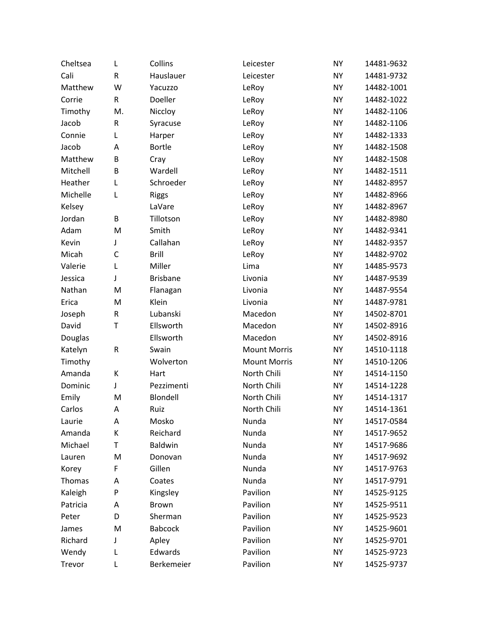| Cheltsea | L         | Collins         | Leicester           | <b>NY</b> | 14481-9632 |
|----------|-----------|-----------------|---------------------|-----------|------------|
| Cali     | R         | Hauslauer       | Leicester           | <b>NY</b> | 14481-9732 |
| Matthew  | W         | Yacuzzo         | LeRoy               | <b>NY</b> | 14482-1001 |
| Corrie   | R         | Doeller         | LeRoy               | <b>NY</b> | 14482-1022 |
| Timothy  | M.        | Niccloy         | LeRoy               | <b>NY</b> | 14482-1106 |
| Jacob    | R         | Syracuse        | LeRoy               | <b>NY</b> | 14482-1106 |
| Connie   | L         | Harper          | LeRoy               | <b>NY</b> | 14482-1333 |
| Jacob    | A         | Bortle          | LeRoy               | <b>NY</b> | 14482-1508 |
| Matthew  | B         | Cray            | LeRoy               | <b>NY</b> | 14482-1508 |
| Mitchell | B         | Wardell         | LeRoy               | <b>NY</b> | 14482-1511 |
| Heather  | L         | Schroeder       | LeRoy               | <b>NY</b> | 14482-8957 |
| Michelle | L         | <b>Riggs</b>    | LeRoy               | <b>NY</b> | 14482-8966 |
| Kelsey   |           | LaVare          | LeRoy               | <b>NY</b> | 14482-8967 |
| Jordan   | B         | Tillotson       | LeRoy               | <b>NY</b> | 14482-8980 |
| Adam     | M         | Smith           | LeRoy               | <b>NY</b> | 14482-9341 |
| Kevin    | J         | Callahan        | LeRoy               | <b>NY</b> | 14482-9357 |
| Micah    | C         | <b>Brill</b>    | LeRoy               | <b>NY</b> | 14482-9702 |
| Valerie  | L         | Miller          | Lima                | <b>NY</b> | 14485-9573 |
| Jessica  | J         | <b>Brisbane</b> | Livonia             | <b>NY</b> | 14487-9539 |
| Nathan   | M         | Flanagan        | Livonia             | <b>NY</b> | 14487-9554 |
| Erica    | M         | Klein           | Livonia             | <b>NY</b> | 14487-9781 |
| Joseph   | R         | Lubanski        | Macedon             | <b>NY</b> | 14502-8701 |
| David    | T         | Ellsworth       | Macedon             | <b>NY</b> | 14502-8916 |
| Douglas  |           | Ellsworth       | Macedon             | <b>NY</b> | 14502-8916 |
| Katelyn  | ${\sf R}$ | Swain           | <b>Mount Morris</b> | <b>NY</b> | 14510-1118 |
| Timothy  |           | Wolverton       | <b>Mount Morris</b> | <b>NY</b> | 14510-1206 |
| Amanda   | К         | Hart            | North Chili         | <b>NY</b> | 14514-1150 |
| Dominic  | J         | Pezzimenti      | North Chili         | <b>NY</b> | 14514-1228 |
| Emily    | M         | Blondell        | North Chili         | <b>NY</b> | 14514-1317 |
| Carlos   | A         | Ruiz            | North Chili         | <b>NY</b> | 14514-1361 |
| Laurie   | Α         | Mosko           | Nunda               | <b>NY</b> | 14517-0584 |
| Amanda   | К         | Reichard        | Nunda               | <b>NY</b> | 14517-9652 |
| Michael  | Т         | <b>Baldwin</b>  | Nunda               | <b>NY</b> | 14517-9686 |
| Lauren   | M         | Donovan         | Nunda               | <b>NY</b> | 14517-9692 |
| Korey    | F         | Gillen          | Nunda               | <b>NY</b> | 14517-9763 |
| Thomas   | А         | Coates          | Nunda               | <b>NY</b> | 14517-9791 |
| Kaleigh  | P         | Kingsley        | Pavilion            | <b>NY</b> | 14525-9125 |
| Patricia | А         | <b>Brown</b>    | Pavilion            | <b>NY</b> | 14525-9511 |
| Peter    | D         | Sherman         | Pavilion            | <b>NY</b> | 14525-9523 |
| James    | M         | <b>Babcock</b>  | Pavilion            | <b>NY</b> | 14525-9601 |
| Richard  | J         | Apley           | Pavilion            | <b>NY</b> | 14525-9701 |
| Wendy    | L         | Edwards         | Pavilion            | <b>NY</b> | 14525-9723 |
| Trevor   | L         | Berkemeier      | Pavilion            | <b>NY</b> | 14525-9737 |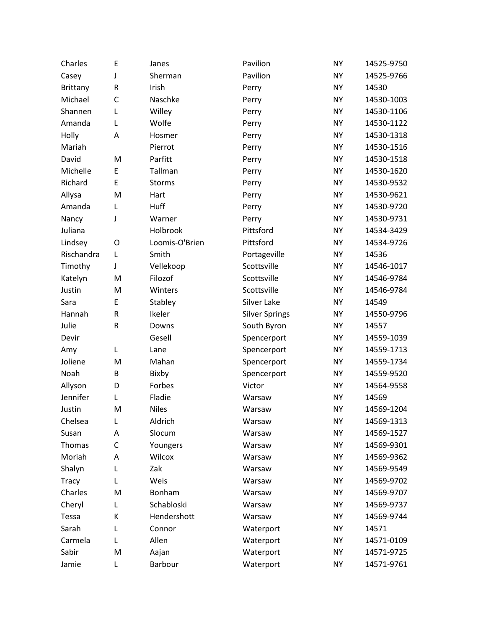| Charles      | Ε         | Janes          | Pavilion              | <b>NY</b> | 14525-9750 |
|--------------|-----------|----------------|-----------------------|-----------|------------|
| Casey        | J         | Sherman        | Pavilion              | <b>NY</b> | 14525-9766 |
| Brittany     | R         | Irish          | Perry                 | <b>NY</b> | 14530      |
| Michael      | C         | Naschke        | Perry                 | <b>NY</b> | 14530-1003 |
| Shannen      | L         | Willey         | Perry                 | <b>NY</b> | 14530-1106 |
| Amanda       | L         | Wolfe          | Perry                 | <b>NY</b> | 14530-1122 |
| Holly        | A         | Hosmer         | Perry                 | <b>NY</b> | 14530-1318 |
| Mariah       |           | Pierrot        | Perry                 | <b>NY</b> | 14530-1516 |
| David        | M         | Parfitt        | Perry                 | <b>NY</b> | 14530-1518 |
| Michelle     | E         | Tallman        | Perry                 | <b>NY</b> | 14530-1620 |
| Richard      | E         | <b>Storms</b>  | Perry                 | <b>NY</b> | 14530-9532 |
| Allysa       | M         | Hart           | Perry                 | <b>NY</b> | 14530-9621 |
| Amanda       | L         | Huff           | Perry                 | <b>NY</b> | 14530-9720 |
| Nancy        | J         | Warner         | Perry                 | <b>NY</b> | 14530-9731 |
| Juliana      |           | Holbrook       | Pittsford             | <b>NY</b> | 14534-3429 |
| Lindsey      | O         | Loomis-O'Brien | Pittsford             | <b>NY</b> | 14534-9726 |
| Rischandra   | L         | Smith          | Portageville          | <b>NY</b> | 14536      |
| Timothy      | J         | Vellekoop      | Scottsville           | <b>NY</b> | 14546-1017 |
| Katelyn      | M         | Filozof        | Scottsville           | <b>NY</b> | 14546-9784 |
| Justin       | M         | Winters        | Scottsville           | <b>NY</b> | 14546-9784 |
| Sara         | E         | Stabley        | Silver Lake           | <b>NY</b> | 14549      |
| Hannah       | R         | Ikeler         | <b>Silver Springs</b> | <b>NY</b> | 14550-9796 |
| Julie        | ${\sf R}$ | Downs          | South Byron           | <b>NY</b> | 14557      |
| Devir        |           | Gesell         | Spencerport           | <b>NY</b> | 14559-1039 |
| Amy          | L         | Lane           | Spencerport           | <b>NY</b> | 14559-1713 |
| Joliene      | M         | Mahan          | Spencerport           | <b>NY</b> | 14559-1734 |
| Noah         | B         | Bixby          | Spencerport           | <b>NY</b> | 14559-9520 |
| Allyson      | D         | Forbes         | Victor                | <b>NY</b> | 14564-9558 |
| Jennifer     | L         | Fladie         | Warsaw                | <b>NY</b> | 14569      |
| Justin       | M         | <b>Niles</b>   | Warsaw                | <b>NY</b> | 14569-1204 |
| Chelsea      | L         | Aldrich        | Warsaw                | <b>NY</b> | 14569-1313 |
| Susan        | Α         | Slocum         | Warsaw                | <b>NY</b> | 14569-1527 |
| Thomas       | C         | Youngers       | Warsaw                | <b>NY</b> | 14569-9301 |
| Moriah       | A         | Wilcox         | Warsaw                | <b>NY</b> | 14569-9362 |
| Shalyn       | L         | Zak            | Warsaw                | <b>NY</b> | 14569-9549 |
| <b>Tracy</b> | L         | Weis           | Warsaw                | <b>NY</b> | 14569-9702 |
| Charles      | M         | Bonham         | Warsaw                | <b>NY</b> | 14569-9707 |
| Cheryl       | L         | Schabloski     | Warsaw                | <b>NY</b> | 14569-9737 |
| Tessa        | К         | Hendershott    | Warsaw                | <b>NY</b> | 14569-9744 |
| Sarah        | L         | Connor         | Waterport             | <b>NY</b> | 14571      |
| Carmela      | L         | Allen          | Waterport             | <b>NY</b> | 14571-0109 |
| Sabir        | M         | Aajan          | Waterport             | <b>NY</b> | 14571-9725 |
| Jamie        | L         | Barbour        | Waterport             | NY        | 14571-9761 |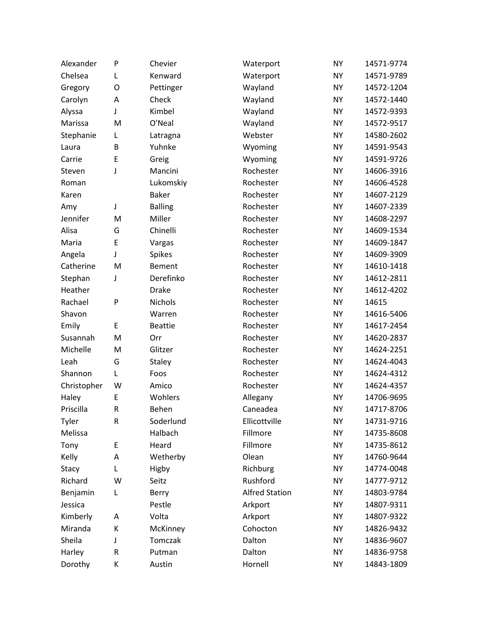| Alexander   | P | Chevier        | Waterport             | <b>NY</b> | 14571-9774 |
|-------------|---|----------------|-----------------------|-----------|------------|
| Chelsea     | L | Kenward        | Waterport             | <b>NY</b> | 14571-9789 |
| Gregory     | O | Pettinger      | Wayland               | <b>NY</b> | 14572-1204 |
| Carolyn     | A | Check          | Wayland               | <b>NY</b> | 14572-1440 |
| Alyssa      | J | Kimbel         | Wayland               | <b>NY</b> | 14572-9393 |
| Marissa     | M | O'Neal         | Wayland               | <b>NY</b> | 14572-9517 |
| Stephanie   | L | Latragna       | Webster               | <b>NY</b> | 14580-2602 |
| Laura       | B | Yuhnke         | Wyoming               | <b>NY</b> | 14591-9543 |
| Carrie      | E | Greig          | Wyoming               | <b>NY</b> | 14591-9726 |
| Steven      | J | Mancini        | Rochester             | <b>NY</b> | 14606-3916 |
| Roman       |   | Lukomskiy      | Rochester             | <b>NY</b> | 14606-4528 |
| Karen       |   | <b>Baker</b>   | Rochester             | <b>NY</b> | 14607-2129 |
| Amy         | J | <b>Balling</b> | Rochester             | <b>NY</b> | 14607-2339 |
| Jennifer    | M | Miller         | Rochester             | <b>NY</b> | 14608-2297 |
| Alisa       | G | Chinelli       | Rochester             | <b>NY</b> | 14609-1534 |
| Maria       | E | Vargas         | Rochester             | <b>NY</b> | 14609-1847 |
| Angela      | J | <b>Spikes</b>  | Rochester             | <b>NY</b> | 14609-3909 |
| Catherine   | M | Bement         | Rochester             | <b>NY</b> | 14610-1418 |
| Stephan     | J | Derefinko      | Rochester             | <b>NY</b> | 14612-2811 |
| Heather     |   | <b>Drake</b>   | Rochester             | <b>NY</b> | 14612-4202 |
| Rachael     | P | Nichols        | Rochester             | <b>NY</b> | 14615      |
| Shavon      |   | Warren         | Rochester             | <b>NY</b> | 14616-5406 |
| Emily       | E | <b>Beattie</b> | Rochester             | <b>NY</b> | 14617-2454 |
| Susannah    | M | Orr            | Rochester             | <b>NY</b> | 14620-2837 |
| Michelle    | M | Glitzer        | Rochester             | <b>NY</b> | 14624-2251 |
| Leah        | G | <b>Staley</b>  | Rochester             | <b>NY</b> | 14624-4043 |
| Shannon     | L | Foos           | Rochester             | <b>NY</b> | 14624-4312 |
| Christopher | W | Amico          | Rochester             | <b>NY</b> | 14624-4357 |
| Haley       | E | Wohlers        | Allegany              | <b>NY</b> | 14706-9695 |
| Priscilla   | R | Behen          | Caneadea              | <b>NY</b> | 14717-8706 |
| Tyler       | R | Soderlund      | Ellicottville         | <b>NY</b> | 14731-9716 |
| Melissa     |   | Halbach        | Fillmore              | <b>NY</b> | 14735-8608 |
| Tony        | Е | Heard          | Fillmore              | <b>NY</b> | 14735-8612 |
| Kelly       | A | Wetherby       | Olean                 | <b>NY</b> | 14760-9644 |
| Stacy       | Г | Higby          | Richburg              | <b>NY</b> | 14774-0048 |
| Richard     | W | Seitz          | Rushford              | <b>NY</b> | 14777-9712 |
| Benjamin    | L | Berry          | <b>Alfred Station</b> | <b>NY</b> | 14803-9784 |
| Jessica     |   | Pestle         | Arkport               | <b>NY</b> | 14807-9311 |
| Kimberly    | Α | Volta          | Arkport               | <b>NY</b> | 14807-9322 |
| Miranda     | К | McKinney       | Cohocton              | <b>NY</b> | 14826-9432 |
| Sheila      | J | Tomczak        | Dalton                | <b>NY</b> | 14836-9607 |
| Harley      | R | Putman         | Dalton                | <b>NY</b> | 14836-9758 |
| Dorothy     | К | Austin         | Hornell               | <b>NY</b> | 14843-1809 |